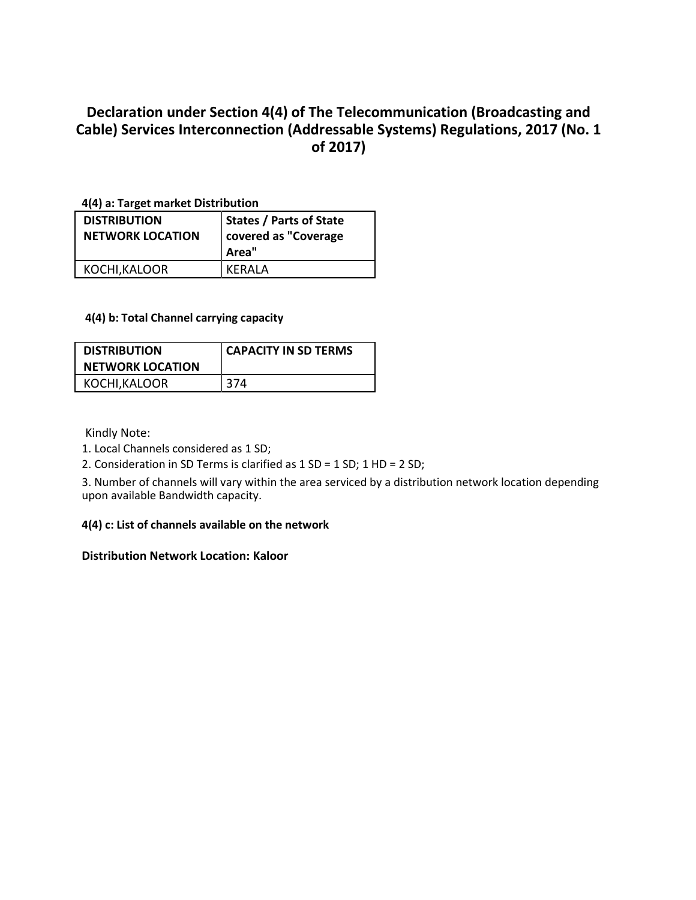## **Declaration under Section 4(4) of The Telecommunication (Broadcasting and Cable) Services Interconnection (Addressable Systems) Regulations, 2017 (No. 1 of 2017)**

**4(4) a: Target market Distribution**

| <b>DISTRIBUTION</b><br><b>NETWORK LOCATION</b> | <b>States / Parts of State</b><br>covered as "Coverage<br>Area" |
|------------------------------------------------|-----------------------------------------------------------------|
| KOCHI, KALOOR                                  | KFRAI A                                                         |

## **4(4) b: Total Channel carrying capacity**

| <b>DISTRIBUTION</b><br><b>NETWORK LOCATION</b> | <b>CAPACITY IN SD TERMS</b> |
|------------------------------------------------|-----------------------------|
| KOCHI, KALOOR                                  | 374                         |

Kindly Note:

1. Local Channels considered as 1 SD;

2. Consideration in SD Terms is clarified as 1 SD = 1 SD; 1 HD = 2 SD;

3. Number of channels will vary within the area serviced by a distribution network location depending upon available Bandwidth capacity.

## **4(4) c: List of channels available on the network**

## **Distribution Network Location: Kaloor**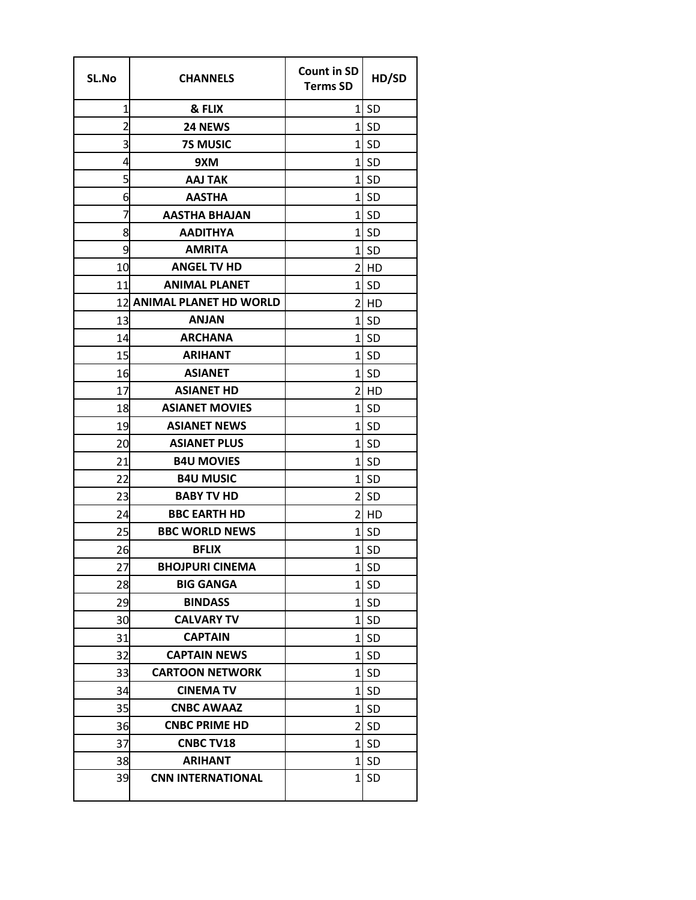| SL.No          | <b>CHANNELS</b>               | <b>Count in SD</b><br><b>Terms SD</b> | HD/SD     |
|----------------|-------------------------------|---------------------------------------|-----------|
| 1              | & FLIX                        | $1\overline{ }$                       | SD        |
| $\overline{2}$ | 24 NEWS                       | $1\vert$                              | <b>SD</b> |
| 3              | <b>7S MUSIC</b>               | 1                                     | <b>SD</b> |
| 4              | 9XM                           | 1                                     | <b>SD</b> |
| 5              | <b>AAJ TAK</b>                | $\mathbf{1}$                          | <b>SD</b> |
| 6              | <b>AASTHA</b>                 | 1                                     | <b>SD</b> |
| 7              | <b>AASTHA BHAJAN</b>          | 1                                     | <b>SD</b> |
| 8              | <b>AADITHYA</b>               | 1                                     | <b>SD</b> |
| 9              | <b>AMRITA</b>                 | 1                                     | <b>SD</b> |
| 10             | <b>ANGEL TV HD</b>            | 2                                     | HD        |
| 11             | <b>ANIMAL PLANET</b>          | 1                                     | <b>SD</b> |
| 12             | <b>ANIMAL PLANET HD WORLD</b> | 2                                     | HD        |
| 13             | <b>ANJAN</b>                  | 1                                     | <b>SD</b> |
| 14             | <b>ARCHANA</b>                | 1                                     | <b>SD</b> |
| 15             | <b>ARIHANT</b>                | 1                                     | <b>SD</b> |
| 16             | <b>ASIANET</b>                | $\mathbf{1}$                          | <b>SD</b> |
| 17             | <b>ASIANET HD</b>             | 2                                     | HD        |
| 18             | <b>ASIANET MOVIES</b>         | 1                                     | <b>SD</b> |
| 19             | <b>ASIANET NEWS</b>           | 1                                     | <b>SD</b> |
| 20             | <b>ASIANET PLUS</b>           | 1                                     | <b>SD</b> |
| 21             | <b>B4U MOVIES</b>             | 1                                     | <b>SD</b> |
| 22             | <b>B4U MUSIC</b>              | 1                                     | <b>SD</b> |
| 23             | <b>BABY TV HD</b>             | 2                                     | <b>SD</b> |
| 24             | <b>BBC EARTH HD</b>           | 2                                     | HD        |
| 25             | <b>BBC WORLD NEWS</b>         | 1                                     | <b>SD</b> |
| 26             | <b>BFLIX</b>                  | 1                                     | <b>SD</b> |
| 27             | <b>BHOJPURI CINEMA</b>        | $1\vert$                              | SD        |
| 28             | <b>BIG GANGA</b>              | 1                                     | <b>SD</b> |
| 29             | <b>BINDASS</b>                | 1                                     | <b>SD</b> |
| 30             | <b>CALVARY TV</b>             | $1\vert$                              | <b>SD</b> |
| 31             | <b>CAPTAIN</b>                |                                       | 1 SD      |
| 32             | <b>CAPTAIN NEWS</b>           | $\mathbf{1}$                          | <b>SD</b> |
| 33             | <b>CARTOON NETWORK</b>        | 1                                     | <b>SD</b> |
| 34             | <b>CINEMA TV</b>              | 1                                     | <b>SD</b> |
| 35             | <b>CNBC AWAAZ</b>             | 1                                     | <b>SD</b> |
| 36             | <b>CNBC PRIME HD</b>          | $\overline{2}$                        | <b>SD</b> |
| 37             | <b>CNBC TV18</b>              | 1                                     | <b>SD</b> |
| 38             | <b>ARIHANT</b>                | 1                                     | SD        |
| 39             | <b>CNN INTERNATIONAL</b>      | 1                                     | <b>SD</b> |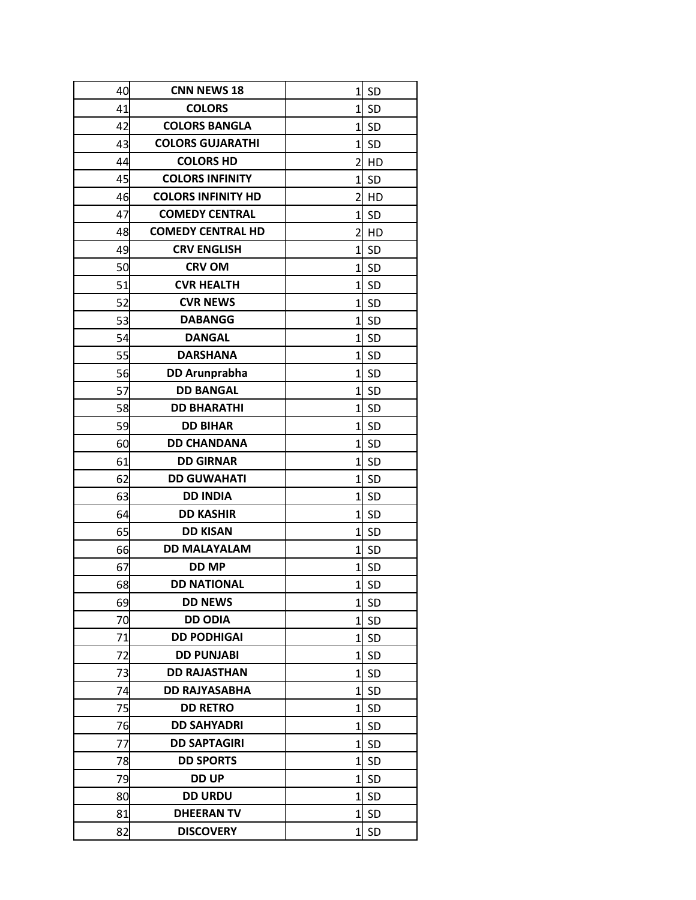| 40 | <b>CNN NEWS 18</b>        | 1              | <b>SD</b> |
|----|---------------------------|----------------|-----------|
| 41 | <b>COLORS</b>             | 1              | <b>SD</b> |
| 42 | <b>COLORS BANGLA</b>      | $\mathbf{1}$   | <b>SD</b> |
| 43 | <b>COLORS GUJARATHI</b>   | 1              | <b>SD</b> |
| 44 | <b>COLORS HD</b>          | 2              | HD        |
| 45 | <b>COLORS INFINITY</b>    | 1              | -SD       |
| 46 | <b>COLORS INFINITY HD</b> | $\overline{2}$ | HD        |
| 47 | <b>COMEDY CENTRAL</b>     | 1              | <b>SD</b> |
| 48 | <b>COMEDY CENTRAL HD</b>  | 2              | HD        |
| 49 | <b>CRV ENGLISH</b>        | $\mathbf{1}$   | <b>SD</b> |
| 50 | <b>CRV OM</b>             | 1              | <b>SD</b> |
| 51 | <b>CVR HEALTH</b>         | 1              | <b>SD</b> |
| 52 | <b>CVR NEWS</b>           | $1\vert$       | <b>SD</b> |
| 53 | <b>DABANGG</b>            | 1              | <b>SD</b> |
| 54 | <b>DANGAL</b>             | 1              | <b>SD</b> |
| 55 | <b>DARSHANA</b>           | 1              | <b>SD</b> |
| 56 | <b>DD Arunprabha</b>      | 1              | <b>SD</b> |
| 57 | <b>DD BANGAL</b>          | 1              | <b>SD</b> |
| 58 | <b>DD BHARATHI</b>        | 1              | <b>SD</b> |
| 59 | <b>DD BIHAR</b>           | 1              | <b>SD</b> |
| 60 | <b>DD CHANDANA</b>        | $\overline{1}$ | <b>SD</b> |
| 61 | <b>DD GIRNAR</b>          | $\mathbf{1}$   | SD        |
| 62 | <b>DD GUWAHATI</b>        | 1              | <b>SD</b> |
| 63 | <b>DD INDIA</b>           | 1              | <b>SD</b> |
| 64 | <b>DD KASHIR</b>          | $1\vert$       | -SD       |
| 65 | <b>DD KISAN</b>           | 1              | <b>SD</b> |
| 66 | <b>DD MALAYALAM</b>       | 1              | <b>SD</b> |
| 67 | <b>DD MP</b>              | $\mathbf{1}$   | <b>SD</b> |
| 68 | <b>DD NATIONAL</b>        | 1              | SD        |
| 69 | <b>DD NEWS</b>            | 1              | <b>SD</b> |
| 70 | <b>DD ODIA</b>            | 1              | <b>SD</b> |
| 71 | <b>DD PODHIGAI</b>        | 1              | <b>SD</b> |
| 72 | <b>DD PUNJABI</b>         | 1              | <b>SD</b> |
| 73 | <b>DD RAJASTHAN</b>       | 1              | <b>SD</b> |
| 74 | <b>DD RAJYASABHA</b>      | 1              | -SD       |
| 75 | <b>DD RETRO</b>           | $\mathbf{1}$   | <b>SD</b> |
| 76 | <b>DD SAHYADRI</b>        | 1              | <b>SD</b> |
| 77 | <b>DD SAPTAGIRI</b>       | 1              | <b>SD</b> |
| 78 | <b>DD SPORTS</b>          | 1              | <b>SD</b> |
| 79 | <b>DD UP</b>              | 1              | <b>SD</b> |
| 80 | <b>DD URDU</b>            | 1              | <b>SD</b> |
| 81 | <b>DHEERAN TV</b>         | 1              | -SD       |
| 82 | <b>DISCOVERY</b>          | 1              | <b>SD</b> |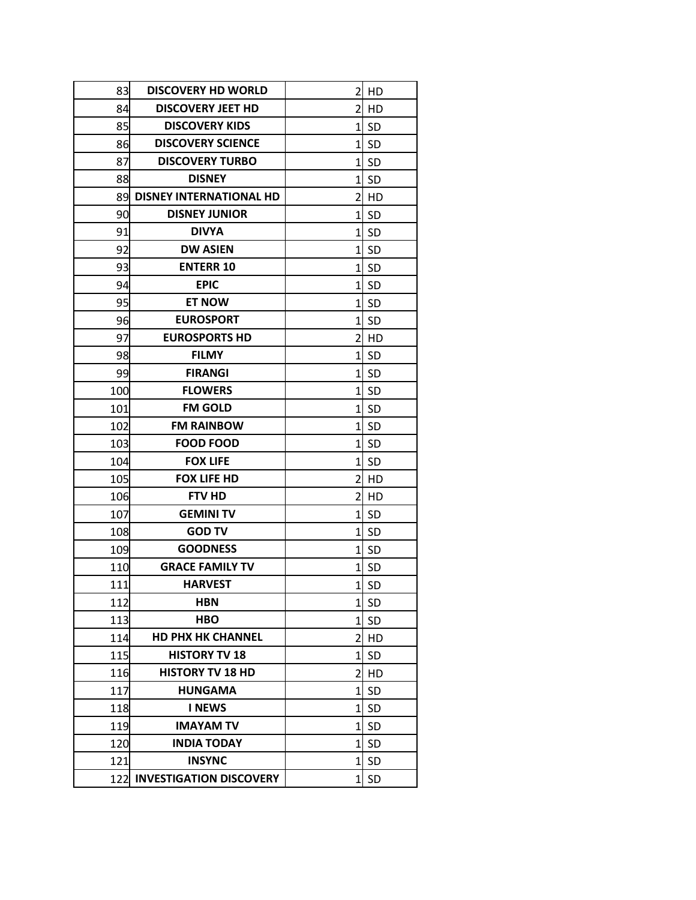| 83  | <b>DISCOVERY HD WORLD</b>      | 2              | HD        |
|-----|--------------------------------|----------------|-----------|
| 84  | <b>DISCOVERY JEET HD</b>       | 2              | HD        |
| 85  | <b>DISCOVERY KIDS</b>          | $\mathbf{1}$   | SD        |
| 86  | <b>DISCOVERY SCIENCE</b>       | 1              | <b>SD</b> |
| 87  | <b>DISCOVERY TURBO</b>         | $\mathbf{1}$   | <b>SD</b> |
| 88  | <b>DISNEY</b>                  | 11             | <b>SD</b> |
| 89  | <b>DISNEY INTERNATIONAL HD</b> | 2              | HD        |
| 90  | <b>DISNEY JUNIOR</b>           | 1              | <b>SD</b> |
| 91  | <b>DIVYA</b>                   | 1              | <b>SD</b> |
| 92  | <b>DW ASIEN</b>                | 1              | <b>SD</b> |
| 93  | <b>ENTERR 10</b>               | 1              | -SD       |
| 94  | <b>EPIC</b>                    | 1              | <b>SD</b> |
| 95  | <b>ET NOW</b>                  | $\mathbf{1}$   | <b>SD</b> |
| 96  | <b>EUROSPORT</b>               | 1              | <b>SD</b> |
| 97  | <b>EUROSPORTS HD</b>           | 2              | HD        |
| 98  | <b>FILMY</b>                   | $\mathbf{1}$   | -SD       |
| 99  | <b>FIRANGI</b>                 | 1              | <b>SD</b> |
| 100 | <b>FLOWERS</b>                 | 1              | SD        |
| 101 | <b>FM GOLD</b>                 | 1              | <b>SD</b> |
| 102 | <b>FM RAINBOW</b>              | 1              | <b>SD</b> |
| 103 | <b>FOOD FOOD</b>               | 1              | <b>SD</b> |
| 104 | <b>FOX LIFE</b>                | $\mathbf{1}$   | <b>SD</b> |
| 105 | <b>FOX LIFE HD</b>             | 2              | HD        |
| 106 | <b>FTV HD</b>                  | 2              | HD        |
| 107 | <b>GEMINI TV</b>               | $\mathbf{1}$   | <b>SD</b> |
| 108 | <b>GOD TV</b>                  | 1              | <b>SD</b> |
| 109 | <b>GOODNESS</b>                | 1              | <b>SD</b> |
| 110 | <b>GRACE FAMILY TV</b>         | 1              | <b>SD</b> |
| 111 | <b>HARVEST</b>                 | $\mathbf{1}$   | <b>SD</b> |
| 112 | <b>HBN</b>                     | 1              | <b>SD</b> |
| 113 | <b>HBO</b>                     | 1              | <b>SD</b> |
| 114 | <b>HD PHX HK CHANNEL</b>       | 2              | HD        |
| 115 | <b>HISTORY TV 18</b>           | 1              | <b>SD</b> |
| 116 | <b>HISTORY TV 18 HD</b>        | $\overline{2}$ | HD        |
| 117 | <b>HUNGAMA</b>                 | 1              | <b>SD</b> |
| 118 | <b>I NEWS</b>                  | 1              | <b>SD</b> |
| 119 | <b>IMAYAM TV</b>               | 1              | SD        |
| 120 | <b>INDIA TODAY</b>             | $\mathbf{1}$   | -SD       |
| 121 | <b>INSYNC</b>                  | 11             | <b>SD</b> |
| 122 | <b>INVESTIGATION DISCOVERY</b> | 1              | <b>SD</b> |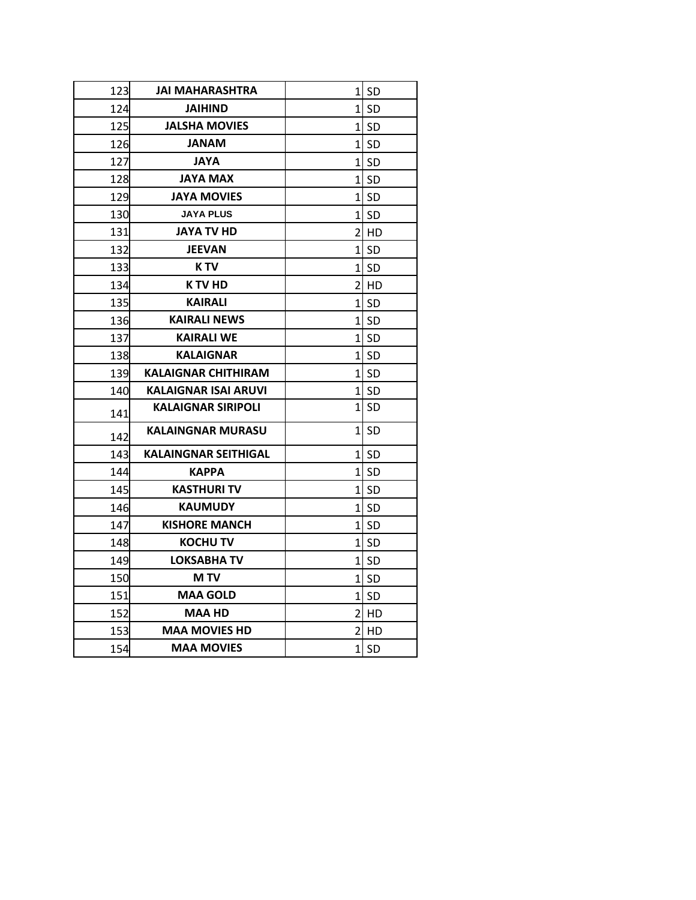| 123 | JAI MAHARASHTRA             |                | $1$ SD    |
|-----|-----------------------------|----------------|-----------|
| 124 | <b>JAIHIND</b>              |                | 1 SD      |
| 125 | <b>JALSHA MOVIES</b>        | $1\vert$       | -SD       |
| 126 | <b>MANAL</b>                |                | 1l SD     |
| 127 | <b>AYAL</b>                 | 11             | SD        |
| 128 | <b>JAYA MAX</b>             | $\mathbf{1}$   | <b>SD</b> |
| 129 | <b>JAYA MOVIES</b>          |                | $1$ SD    |
| 130 | <b>JAYA PLUS</b>            |                | 1l SD     |
| 131 | JAYA TV HD                  |                | 21 HD     |
| 132 | JEEVAN                      | 11             | SD        |
| 133 | K TV                        |                | 1l SD     |
| 134 | K TV HD                     |                | 21 HD     |
| 135 | <b>KAIRALI</b>              | 1              | <b>SD</b> |
| 136 | <b>KAIRALI NEWS</b>         |                | $1$ SD    |
| 137 | <b>KAIRALI WE</b>           |                | 1l SD     |
| 138 | <b>KALAIGNAR</b>            |                | $1$ SD    |
| 139 | <b>KALAIGNAR CHITHIRAM</b>  | $1\mathsf{l}$  | -SD       |
| 140 | KALAIGNAR ISAI ARUVI        |                | 1l SD     |
| 141 | <b>KALAIGNAR SIRIPOLI</b>   | $1\vert$       | SD        |
| 142 | <b>KALAINGNAR MURASU</b>    | 1 <sup>1</sup> | <b>SD</b> |
| 143 | <b>KALAINGNAR SEITHIGAL</b> |                | $1$ SD    |
| 144 | <b>KAPPA</b>                | 1 <sup>1</sup> | <b>SD</b> |
| 145 | <b>KASTHURI TV</b>          |                | 1l SD     |
| 146 | KAUMUDY                     | 11             | -SD       |
| 147 | <b>KISHORE MANCH</b>        | $1\vert$       | SD        |
| 148 | <b>KOCHU TV</b>             | $1\vert$       | -SD       |
| 149 | LOKSABHA TV                 |                | 1l SD     |
| 150 | M TV                        |                | 1l SD     |
| 151 | <b>MAA GOLD</b>             | 1              | SD        |
| 152 | <b>MAA HD</b>               |                | $2$ HD    |
| 153 | <b>MAA MOVIES HD</b>        | 21             | HD        |
| 154 | <b>MAA MOVIES</b>           | $1\vert$       | SD        |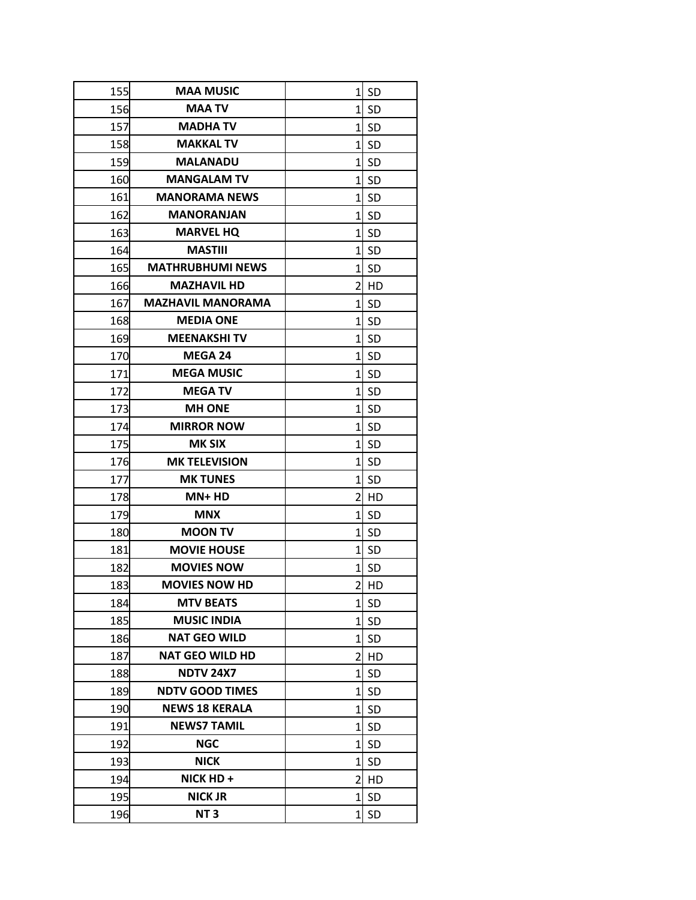| 155 | <b>MAA MUSIC</b>         | 1              | <b>SD</b> |
|-----|--------------------------|----------------|-----------|
| 156 | <b>MAA TV</b>            | $\mathbf{1}$   | <b>SD</b> |
| 157 | <b>MADHATV</b>           | 1              | <b>SD</b> |
| 158 | <b>MAKKAL TV</b>         | 1              | <b>SD</b> |
| 159 | <b>MALANADU</b>          | $\mathbf{1}$   | <b>SD</b> |
| 160 | <b>MANGALAM TV</b>       | 1              | <b>SD</b> |
| 161 | <b>MANORAMA NEWS</b>     | $\mathbf{1}$   | <b>SD</b> |
| 162 | <b>MANORANJAN</b>        | 1              | <b>SD</b> |
| 163 | <b>MARVEL HQ</b>         | $1\vert$       | <b>SD</b> |
| 164 | <b>MASTIII</b>           | 1              | <b>SD</b> |
| 165 | <b>MATHRUBHUMI NEWS</b>  | 1              | <b>SD</b> |
| 166 | <b>MAZHAVIL HD</b>       | $\overline{2}$ | HD        |
| 167 | <b>MAZHAVIL MANORAMA</b> | 1              | <b>SD</b> |
| 168 | <b>MEDIA ONE</b>         | 1              | <b>SD</b> |
| 169 | <b>MEENAKSHI TV</b>      | $\mathbf{1}$   | <b>SD</b> |
| 170 | <b>MEGA 24</b>           | $1\vert$       | <b>SD</b> |
| 171 | <b>MEGA MUSIC</b>        | 1              | <b>SD</b> |
| 172 | <b>MEGA TV</b>           | $\mathbf{1}$   | <b>SD</b> |
| 173 | <b>MH ONE</b>            | 1              | SD        |
| 174 | <b>MIRROR NOW</b>        | 1              | <b>SD</b> |
| 175 | <b>MK SIX</b>            | 1              | <b>SD</b> |
| 176 | <b>MK TELEVISION</b>     | $\mathbf{1}$   | <b>SD</b> |
| 177 | <b>MK TUNES</b>          | 1              | <b>SD</b> |
| 178 | $MN+HD$                  | 2              | HD        |
| 179 | <b>MNX</b>               | 1              | <b>SD</b> |
| 180 | <b>MOON TV</b>           | 1              | <b>SD</b> |
| 181 | <b>MOVIE HOUSE</b>       | $\mathbf{1}$   | <b>SD</b> |
| 182 | <b>MOVIES NOW</b>        | 1              | <b>SD</b> |
| 183 | <b>MOVIES NOW HD</b>     | $\overline{2}$ | <b>HD</b> |
| 184 | <b>MTV BEATS</b>         | 1              | <b>SD</b> |
| 185 | <b>MUSIC INDIA</b>       | $\mathbf{1}$   | <b>SD</b> |
| 186 | <b>NAT GEO WILD</b>      | 1              | <b>SD</b> |
| 187 | <b>NAT GEO WILD HD</b>   | 2              | HD        |
| 188 | <b>NDTV 24X7</b>         | $\mathbf{1}$   | <b>SD</b> |
| 189 | <b>NDTV GOOD TIMES</b>   | 1              | <b>SD</b> |
| 190 | <b>NEWS 18 KERALA</b>    | 1              | <b>SD</b> |
| 191 | <b>NEWS7 TAMIL</b>       | $\mathbf{1}$   | <b>SD</b> |
| 192 | <b>NGC</b>               | $\mathbf{1}$   | -SD       |
| 193 | <b>NICK</b>              | 1              | <b>SD</b> |
| 194 | NICK HD +                | 2              | HD        |
| 195 | <b>NICK JR</b>           | 1              | <b>SD</b> |
| 196 | NT <sub>3</sub>          | $\mathbf{1}$   | SD        |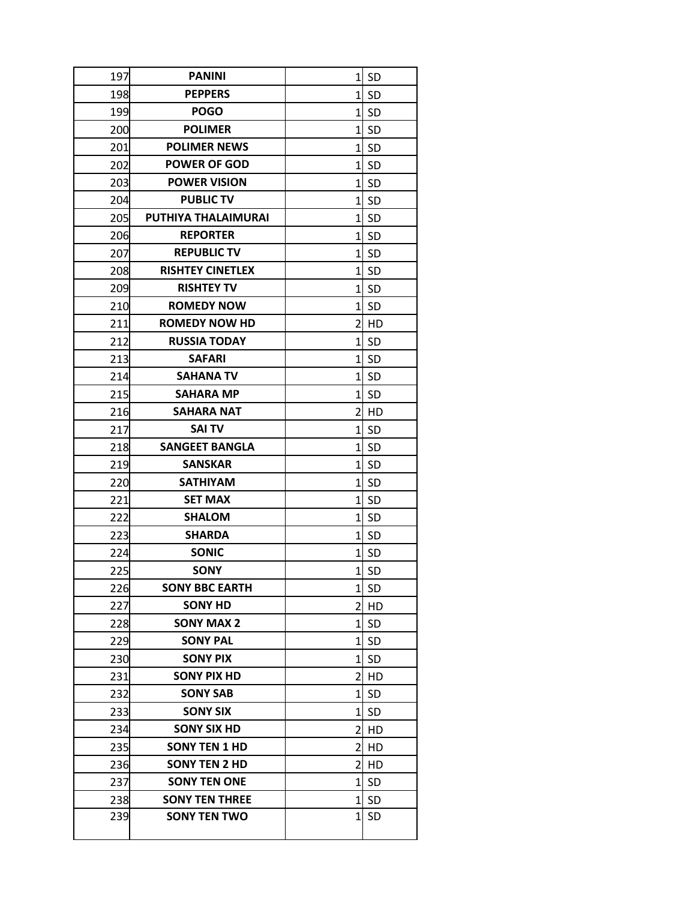| 197 | <b>PANINI</b>           | 1              | <b>SD</b> |
|-----|-------------------------|----------------|-----------|
| 198 | <b>PEPPERS</b>          | $\mathbf{1}$   | SD        |
| 199 | <b>POGO</b>             | $\mathbf{1}$   | <b>SD</b> |
| 200 | <b>POLIMER</b>          | 1              | <b>SD</b> |
| 201 | <b>POLIMER NEWS</b>     | $\mathbf{1}$   | <b>SD</b> |
| 202 | <b>POWER OF GOD</b>     | $\mathbf{1}$   | <b>SD</b> |
| 203 | <b>POWER VISION</b>     | $\mathbf{1}$   | <b>SD</b> |
| 204 | <b>PUBLIC TV</b>        | $\mathbf{1}$   | <b>SD</b> |
| 205 | PUTHIYA THALAIMURAI     | $\mathbf{1}$   | <b>SD</b> |
| 206 | <b>REPORTER</b>         | 1              | <b>SD</b> |
| 207 | <b>REPUBLIC TV</b>      | $1\vert$       | -SD       |
| 208 | <b>RISHTEY CINETLEX</b> | 1              | <b>SD</b> |
| 209 | <b>RISHTEY TV</b>       | $\mathbf{1}$   | <b>SD</b> |
| 210 | <b>ROMEDY NOW</b>       | 1              | <b>SD</b> |
| 211 | <b>ROMEDY NOW HD</b>    | $\overline{2}$ | HD        |
| 212 | <b>RUSSIA TODAY</b>     | 1              | <b>SD</b> |
| 213 | <b>SAFARI</b>           | 1              | <b>SD</b> |
| 214 | <b>SAHANA TV</b>        | 1              | -SD       |
| 215 | <b>SAHARA MP</b>        | 1              | <b>SD</b> |
| 216 | <b>SAHARA NAT</b>       | $\overline{2}$ | HD        |
| 217 | <b>SAI TV</b>           | 1              | <b>SD</b> |
| 218 | <b>SANGEET BANGLA</b>   | $\mathbf{1}$   | <b>SD</b> |
| 219 | <b>SANSKAR</b>          | $1\vert$       | <b>SD</b> |
| 220 | <b>SATHIYAM</b>         | $\mathbf{1}$   | <b>SD</b> |
| 221 | <b>SET MAX</b>          | $\mathbf{1}$   | <b>SD</b> |
| 222 | <b>SHALOM</b>           | $\mathbf{1}$   | <b>SD</b> |
| 223 | <b>SHARDA</b>           | $\mathbf{1}$   | <b>SD</b> |
| 224 | <b>SONIC</b>            | 1              | <b>SD</b> |
| 225 | <b>SONY</b>             |                | $1$ SD    |
| 226 | <b>SONY BBC EARTH</b>   | 1              | <b>SD</b> |
| 227 | <b>SONY HD</b>          | $\overline{2}$ | HD        |
| 228 | <b>SONY MAX 2</b>       | 1              | <b>SD</b> |
| 229 | <b>SONY PAL</b>         | 1              | <b>SD</b> |
| 230 | <b>SONY PIX</b>         | 1              | <b>SD</b> |
| 231 | <b>SONY PIX HD</b>      | 2              | HD        |
| 232 | <b>SONY SAB</b>         | 1              | <b>SD</b> |
| 233 | <b>SONY SIX</b>         | 1              | <b>SD</b> |
| 234 | <b>SONY SIX HD</b>      | 2              | HD        |
| 235 | <b>SONY TEN 1 HD</b>    | 2              | HD        |
| 236 | <b>SONY TEN 2 HD</b>    | $\overline{2}$ | HD        |
| 237 | <b>SONY TEN ONE</b>     | $\mathbf{1}$   | <b>SD</b> |
| 238 | <b>SONY TEN THREE</b>   | 1              | <b>SD</b> |
| 239 | <b>SONY TEN TWO</b>     | $\mathbf{1}$   | <b>SD</b> |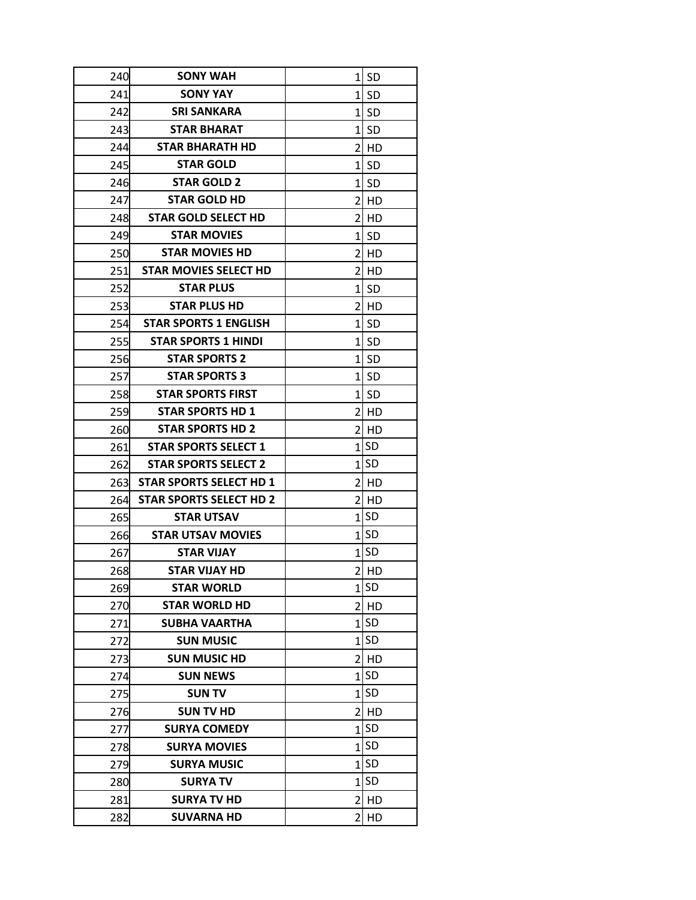| 240  | <b>SONY WAH</b>                |                 | $1$ SD    |
|------|--------------------------------|-----------------|-----------|
| 241  | <b>SONY YAY</b>                | $1\overline{ }$ | <b>SD</b> |
| 242  | <b>SRI SANKARA</b>             | $\mathbf{1}$    | <b>SD</b> |
| 243  | <b>STAR BHARAT</b>             |                 | 1l SD     |
| 244  | <b>STAR BHARATH HD</b>         | $\overline{2}$  | l HD      |
| 245  | <b>STAR GOLD</b>               |                 | 1l SD     |
| 246  | <b>STAR GOLD 2</b>             | 1               | -SD       |
| 247  | <b>STAR GOLD HD</b>            | 2               | l HD      |
| 248  | <b>STAR GOLD SELECT HD</b>     | $\overline{2}$  | l HD      |
| 249  | <b>STAR MOVIES</b>             | $1\vert$        | <b>SD</b> |
| 250  | <b>STAR MOVIES HD</b>          |                 | 2 HD      |
| 251  | <b>STAR MOVIES SELECT HD</b>   | $\overline{2}$  | <b>HD</b> |
| 252  | <b>STAR PLUS</b>               | $1\vert$        | -SD       |
| 253  | <b>STAR PLUS HD</b>            | 2               | l HD      |
| 254  | <b>STAR SPORTS 1 ENGLISH</b>   | $\mathbf{1}$    | <b>SD</b> |
| 255  | <b>STAR SPORTS 1 HINDI</b>     |                 | 1l SD     |
| 256  | <b>STAR SPORTS 2</b>           | $1\vert$        | <b>SD</b> |
| 257  | <b>STAR SPORTS 3</b>           |                 | 1l SD     |
| 258  | <b>STAR SPORTS FIRST</b>       | $1\overline{ }$ | <b>SD</b> |
| 259  | <b>STAR SPORTS HD 1</b>        | $\overline{2}$  | l HD      |
| 260  | <b>STAR SPORTS HD 2</b>        | $\overline{2}$  | l HD      |
| 261  | <b>STAR SPORTS SELECT 1</b>    |                 | $1$ SD    |
| 262  | <b>STAR SPORTS SELECT 2</b>    |                 | $1$ SD    |
| 2631 | <b>STAR SPORTS SELECT HD 1</b> | $\overline{2}$  | l HD      |
| 264  | <b>STAR SPORTS SELECT HD 2</b> | $\overline{2}$  | l HD      |
| 265  | <b>STAR UTSAV</b>              | $\mathbf{1}$    | <b>SD</b> |
| 266  | <b>STAR UTSAV MOVIES</b>       |                 | $1$ SD    |
| 267  | STAR VIJAY                     |                 | $1$ SD    |
| 268  | <b>STAR VIJAY HD</b>           |                 | $2$ HD    |
| 269  | <b>STAR WORLD</b>              | $1\vert$        | <b>SD</b> |
| 270  | <b>STAR WORLD HD</b>           | $\overline{2}$  | HD        |
| 271  | <b>SUBHA VAARTHA</b>           | $\mathbf{1}$    | <b>SD</b> |
| 272  | <b>SUN MUSIC</b>               | 1               | <b>SD</b> |
| 273  | <b>SUN MUSIC HD</b>            | 2               | HD        |
| 274  | <b>SUN NEWS</b>                |                 | 1SD       |
| 275  | <b>SUN TV</b>                  | $\mathbf{1}$    | <b>SD</b> |
| 276  | <b>SUN TV HD</b>               | $\overline{2}$  | HD        |
| 277  | <b>SURYA COMEDY</b>            | $\mathbf 1$     | <b>SD</b> |
| 278  | <b>SURYA MOVIES</b>            | $1\overline{ }$ | <b>SD</b> |
| 279  | <b>SURYA MUSIC</b>             |                 | 1lSD      |
| 280  | <b>SURYA TV</b>                |                 | $1$ SD    |
| 281  | <b>SURYA TV HD</b>             | 2               | HD        |
| 282  | <b>SUVARNA HD</b>              | 2               | HD        |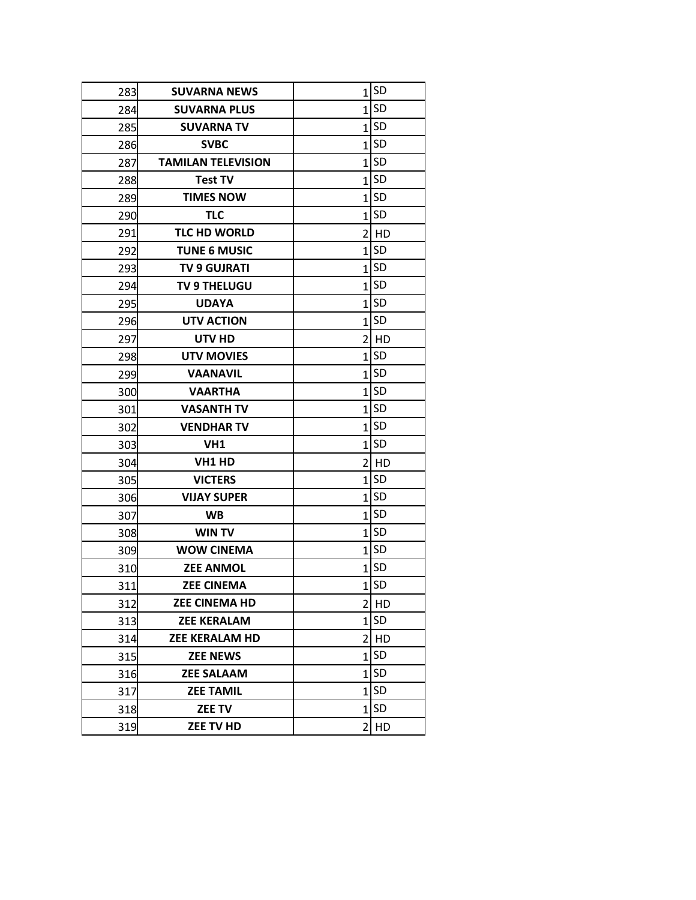| 283 | <b>SUVARNA NEWS</b>       | $\mathbf{1}$   | <b>SD</b> |
|-----|---------------------------|----------------|-----------|
| 284 | <b>SUVARNA PLUS</b>       | $\mathbf{1}$   | <b>SD</b> |
| 285 | <b>SUVARNA TV</b>         | $\mathbf{1}$   | <b>SD</b> |
| 286 | <b>SVBC</b>               | $\mathbf{1}$   | <b>SD</b> |
| 287 | <b>TAMILAN TELEVISION</b> | $\overline{1}$ | <b>SD</b> |
| 288 | <b>Test TV</b>            | $\mathbf{1}$   | <b>SD</b> |
| 289 | <b>TIMES NOW</b>          | 1              | <b>SD</b> |
| 290 | <b>TLC</b>                | 1              | <b>SD</b> |
| 291 | <b>TLC HD WORLD</b>       |                | 2 HD      |
| 292 | <b>TUNE 6 MUSIC</b>       | 1              | <b>SD</b> |
| 293 | <b>TV 9 GUJRATI</b>       | 1              | <b>SD</b> |
| 294 | <b>TV 9 THELUGU</b>       | $\overline{1}$ | <b>SD</b> |
| 295 | <b>UDAYA</b>              | $\mathbf{1}$   | <b>SD</b> |
| 296 | <b>UTV ACTION</b>         | 1              | <b>SD</b> |
| 297 | UTV HD                    | 2              | <b>HD</b> |
| 298 | <b>UTV MOVIES</b>         | $\mathbf{1}$   | <b>SD</b> |
| 299 | <b>VAANAVIL</b>           | 1              | SD        |
| 300 | <b>VAARTHA</b>            | $\mathbf{1}$   | <b>SD</b> |
| 301 | <b>VASANTH TV</b>         | $\mathbf{1}$   | <b>SD</b> |
| 302 | <b>VENDHAR TV</b>         | $\mathbf{1}$   | <b>SD</b> |
| 303 | VH1                       | $1\vert$       | <b>SD</b> |
| 304 | VH1 HD                    | 2              | <b>HD</b> |
| 305 | <b>VICTERS</b>            | $\mathbf{1}$   | <b>SD</b> |
| 306 | <b>VIJAY SUPER</b>        | $\overline{1}$ | <b>SD</b> |
| 307 | <b>WB</b>                 | 1              | <b>SD</b> |
| 308 | <b>WIN TV</b>             | $\mathbf{1}$   | <b>SD</b> |
| 309 | <b>WOW CINEMA</b>         | $\mathbf{1}$   | <b>SD</b> |
| 310 | <b>ZEE ANMOL</b>          | 1              | <b>SD</b> |
| 311 | <b>ZEE CINEMA</b>         | $\overline{1}$ | SD        |
| 312 | <b>ZEE CINEMA HD</b>      | 2              | HD        |
| 313 | <b>ZEE KERALAM</b>        | 1              | <b>SD</b> |
| 314 | <b>ZEE KERALAM HD</b>     | 2              | HD        |
| 315 | <b>ZEE NEWS</b>           | 1              | <b>SD</b> |
| 316 | <b>ZEE SALAAM</b>         | $\mathbf{1}$   | <b>SD</b> |
| 317 | <b>ZEE TAMIL</b>          | 1              | <b>SD</b> |
| 318 | ZEE TV                    | 1              | <b>SD</b> |
| 319 | ZEE TV HD                 | 2              | HD        |